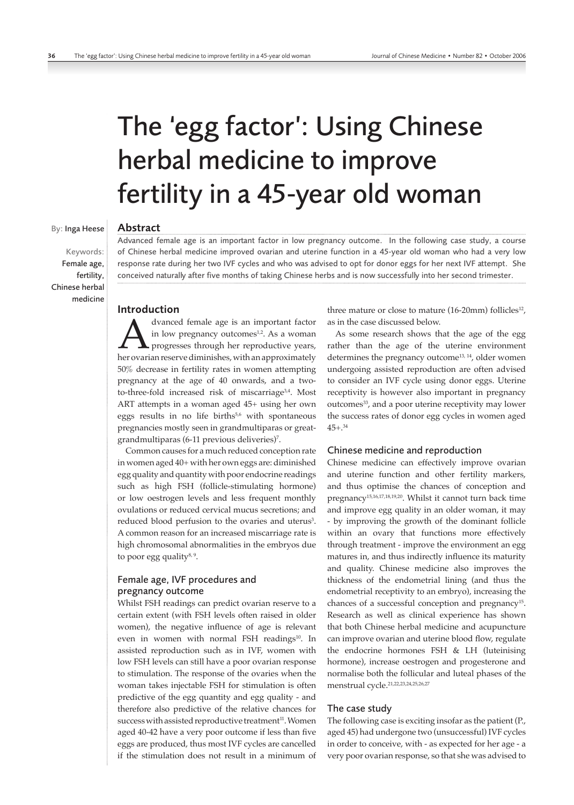# The 'egg factor': Using Chinese herbal medicine to improve fertility in a 45-year old woman

# By: Inga Heese

Keywords: Female age, fertility, Chinese herbal medicine

# Abstract

Advanced female age is an important factor in low pregnancy outcome. In the following case study, a course of Chinese herbal medicine improved ovarian and uterine function in a 45-year old woman who had a very low response rate during her two IVF cycles and who was advised to opt for donor eggs for her next IVF attempt. She conceived naturally after five months of taking Chinese herbs and is now successfully into her second trimester.

# Introduction

dvanced female age is an important factor<br>in low pregnancy outcomes<sup>1,2</sup>. As a woman<br>her ovarian reserve diminishes, with an approximately in low pregnancy outcomes<sup>1,2</sup>. As a woman **L** progresses through her reproductive years, 50% decrease in fertility rates in women attempting pregnancy at the age of 40 onwards, and a twoto-three-fold increased risk of miscarriage<sup>3,4</sup>. Most ART attempts in a woman aged 45+ using her own eggs results in no life births<sup>5,6</sup> with spontaneous pregnancies mostly seen in grandmultiparas or greatgrandmultiparas (6-11 previous deliveries)7 .

Common causes for a much reduced conception rate in women aged 40+ with her own eggs are: diminished egg quality and quantity with poor endocrine readings such as high FSH (follicle-stimulating hormone) or low oestrogen levels and less frequent monthly ovulations or reduced cervical mucus secretions; and reduced blood perfusion to the ovaries and uterus<sup>3</sup>. A common reason for an increased miscarriage rate is high chromosomal abnormalities in the embryos due to poor egg quality $8, 9$ .

# Female age, IVF procedures and pregnancy outcome

Whilst FSH readings can predict ovarian reserve to a certain extent (with FSH levels often raised in older women), the negative influence of age is relevant even in women with normal FSH readings<sup>10</sup>. In assisted reproduction such as in IVF, women with low FSH levels can still have a poor ovarian response to stimulation. The response of the ovaries when the woman takes injectable FSH for stimulation is often predictive of the egg quantity and egg quality - and therefore also predictive of the relative chances for success with assisted reproductive treatment<sup>11</sup>. Women aged 40-42 have a very poor outcome if less than five eggs are produced, thus most IVF cycles are cancelled if the stimulation does not result in a minimum of three mature or close to mature  $(16-20$ mm) follicles<sup>12</sup>, as in the case discussed below.

As some research shows that the age of the egg rather than the age of the uterine environment determines the pregnancy outcome<sup>13, 14</sup>, older women undergoing assisted reproduction are often advised to consider an IVF cycle using donor eggs. Uterine receptivity is however also important in pregnancy outcomes<sup>33</sup>, and a poor uterine receptivity may lower the success rates of donor egg cycles in women aged 45+.34

# Chinese medicine and reproduction

Chinese medicine can effectively improve ovarian and uterine function and other fertility markers, and thus optimise the chances of conception and pregnancy15,16,17,18,19,20. Whilst it cannot turn back time and improve egg quality in an older woman, it may - by improving the growth of the dominant follicle within an ovary that functions more effectively through treatment - improve the environment an egg matures in, and thus indirectly influence its maturity and quality. Chinese medicine also improves the thickness of the endometrial lining (and thus the endometrial receptivity to an embryo), increasing the chances of a successful conception and pregnancy15. Research as well as clinical experience has shown that both Chinese herbal medicine and acupuncture can improve ovarian and uterine blood flow, regulate the endocrine hormones FSH & LH (luteinising hormone), increase oestrogen and progesterone and normalise both the follicular and luteal phases of the menstrual cycle.21,22,23,24,25,26,27

# The case study

The following case is exciting insofar as the patient (P., aged 45) had undergone two (unsuccessful) IVF cycles in order to conceive, with - as expected for her age - a very poor ovarian response, so that she was advised to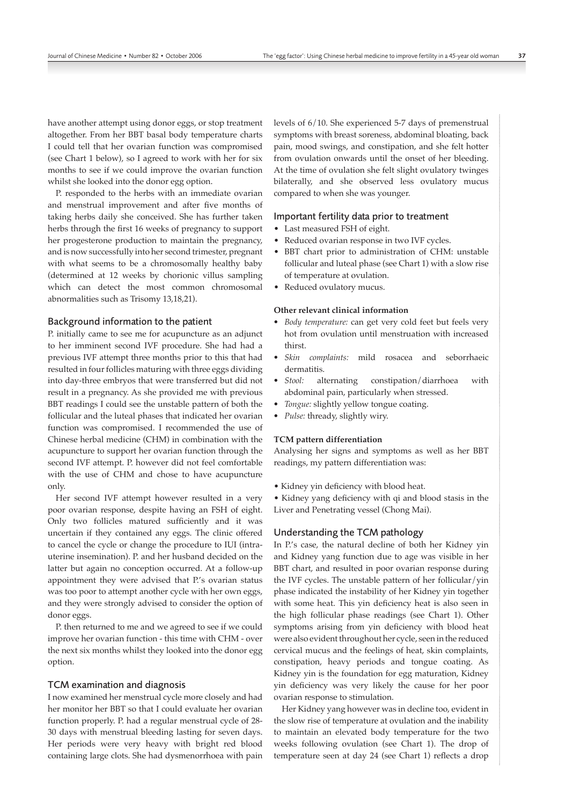have another attempt using donor eggs, or stop treatment altogether. From her BBT basal body temperature charts I could tell that her ovarian function was compromised (see Chart 1 below), so I agreed to work with her for six months to see if we could improve the ovarian function whilst she looked into the donor egg option.

P. responded to the herbs with an immediate ovarian and menstrual improvement and after five months of taking herbs daily she conceived. She has further taken herbs through the first 16 weeks of pregnancy to support her progesterone production to maintain the pregnancy, and is now successfully into her second trimester, pregnant with what seems to be a chromosomally healthy baby (determined at 12 weeks by chorionic villus sampling which can detect the most common chromosomal abnormalities such as Trisomy 13,18,21).

## Background information to the patient

P. initially came to see me for acupuncture as an adjunct to her imminent second IVF procedure. She had had a previous IVF attempt three months prior to this that had resulted in four follicles maturing with three eggs dividing into day-three embryos that were transferred but did not result in a pregnancy. As she provided me with previous BBT readings I could see the unstable pattern of both the follicular and the luteal phases that indicated her ovarian function was compromised. I recommended the use of Chinese herbal medicine (CHM) in combination with the acupuncture to support her ovarian function through the second IVF attempt. P. however did not feel comfortable with the use of CHM and chose to have acupuncture only.

Her second IVF attempt however resulted in a very poor ovarian response, despite having an FSH of eight. Only two follicles matured sufficiently and it was uncertain if they contained any eggs. The clinic offered to cancel the cycle or change the procedure to IUI (intrauterine insemination). P. and her husband decided on the latter but again no conception occurred. At a follow-up appointment they were advised that P.'s ovarian status was too poor to attempt another cycle with her own eggs, and they were strongly advised to consider the option of donor eggs.

P. then returned to me and we agreed to see if we could improve her ovarian function - this time with CHM - over the next six months whilst they looked into the donor egg option.

# TCM examination and diagnosis

I now examined her menstrual cycle more closely and had her monitor her BBT so that I could evaluate her ovarian function properly. P. had a regular menstrual cycle of 28- 30 days with menstrual bleeding lasting for seven days. Her periods were very heavy with bright red blood containing large clots. She had dysmenorrhoea with pain levels of 6/10. She experienced 5-7 days of premenstrual symptoms with breast soreness, abdominal bloating, back pain, mood swings, and constipation, and she felt hotter from ovulation onwards until the onset of her bleeding. At the time of ovulation she felt slight ovulatory twinges bilaterally, and she observed less ovulatory mucus compared to when she was younger.

### Important fertility data prior to treatment

- Last measured FSH of eight.
- Reduced ovarian response in two IVF cycles.
- BBT chart prior to administration of CHM: unstable follicular and luteal phase (see Chart 1) with a slow rise of temperature at ovulation.
- Reduced ovulatory mucus.

#### **Other relevant clinical information**

- *Body temperature:* can get very cold feet but feels very hot from ovulation until menstruation with increased thirst.
- *Skin complaints:* mild rosacea and seborrhaeic dermatitis.
- *Stool:* alternating constipation/diarrhoea with abdominal pain, particularly when stressed.
- *Tongue:* slightly yellow tongue coating.
- *Pulse:* thready, slightly wiry.

#### **TCM pattern differentiation**

Analysing her signs and symptoms as well as her BBT readings, my pattern differentiation was:

• Kidney yin deficiency with blood heat.

• Kidney yang deficiency with qi and blood stasis in the Liver and Penetrating vessel (Chong Mai).

# Understanding the TCM pathology

In P.'s case, the natural decline of both her Kidney yin and Kidney yang function due to age was visible in her BBT chart, and resulted in poor ovarian response during the IVF cycles. The unstable pattern of her follicular/yin phase indicated the instability of her Kidney yin together with some heat. This yin deficiency heat is also seen in the high follicular phase readings (see Chart 1). Other symptoms arising from yin deficiency with blood heat were also evident throughout her cycle, seen in the reduced cervical mucus and the feelings of heat, skin complaints, constipation, heavy periods and tongue coating. As Kidney yin is the foundation for egg maturation, Kidney yin deficiency was very likely the cause for her poor ovarian response to stimulation.

Her Kidney yang however was in decline too, evident in the slow rise of temperature at ovulation and the inability to maintain an elevated body temperature for the two weeks following ovulation (see Chart 1). The drop of temperature seen at day 24 (see Chart 1) reflects a drop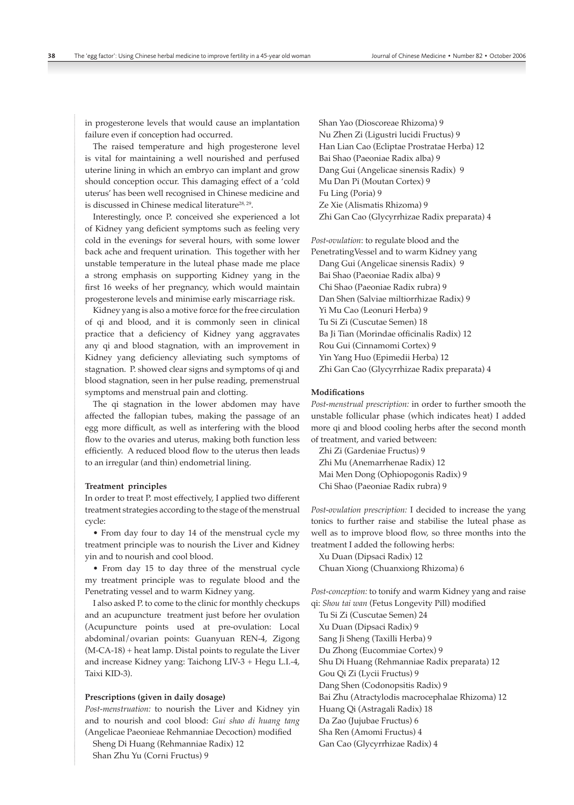in progesterone levels that would cause an implantation failure even if conception had occurred.

The raised temperature and high progesterone level is vital for maintaining a well nourished and perfused uterine lining in which an embryo can implant and grow should conception occur. This damaging effect of a 'cold uterus' has been well recognised in Chinese medicine and is discussed in Chinese medical literature<sup>28, 29</sup>.

Interestingly, once P. conceived she experienced a lot of Kidney yang deficient symptoms such as feeling very cold in the evenings for several hours, with some lower back ache and frequent urination. This together with her unstable temperature in the luteal phase made me place a strong emphasis on supporting Kidney yang in the first 16 weeks of her pregnancy, which would maintain progesterone levels and minimise early miscarriage risk.

Kidney yang is also a motive force for the free circulation of qi and blood, and it is commonly seen in clinical practice that a deficiency of Kidney yang aggravates any qi and blood stagnation, with an improvement in Kidney yang deficiency alleviating such symptoms of stagnation. P. showed clear signs and symptoms of qi and blood stagnation, seen in her pulse reading, premenstrual symptoms and menstrual pain and clotting.

The qi stagnation in the lower abdomen may have affected the fallopian tubes, making the passage of an egg more difficult, as well as interfering with the blood flow to the ovaries and uterus, making both function less efficiently. A reduced blood flow to the uterus then leads to an irregular (and thin) endometrial lining.

#### **Treatment principles**

In order to treat P. most effectively, I applied two different treatment strategies according to the stage of the menstrual cycle:

• From day four to day 14 of the menstrual cycle my treatment principle was to nourish the Liver and Kidney yin and to nourish and cool blood.

• From day 15 to day three of the menstrual cycle my treatment principle was to regulate blood and the Penetrating vessel and to warm Kidney yang.

I also asked P. to come to the clinic for monthly checkups and an acupuncture treatment just before her ovulation (Acupuncture points used at pre-ovulation: Local abdominal/ovarian points: Guanyuan REN-4, Zigong (M-CA-18) + heat lamp. Distal points to regulate the Liver and increase Kidney yang: Taichong LIV-3 + Hegu L.I.-4, Taixi KID-3).

#### **Prescriptions (given in daily dosage)**

*Post-menstruation:* to nourish the Liver and Kidney yin and to nourish and cool blood: *Gui shao di huang tang*  (Angelicae Paeonieae Rehmanniae Decoction) modified Sheng Di Huang (Rehmanniae Radix) 12

Shan Zhu Yu (Corni Fructus) 9

Shan Yao (Dioscoreae Rhizoma) 9 Nu Zhen Zi (Ligustri lucidi Fructus) 9 Han Lian Cao (Ecliptae Prostratae Herba) 12 Bai Shao (Paeoniae Radix alba) 9 Dang Gui (Angelicae sinensis Radix) 9 Mu Dan Pi (Moutan Cortex) 9 Fu Ling (Poria) 9 Ze Xie (Alismatis Rhizoma) 9 Zhi Gan Cao (Glycyrrhizae Radix preparata) 4

*Post-ovulation*: to regulate blood and the PenetratingVessel and to warm Kidney yang Dang Gui (Angelicae sinensis Radix) 9 Bai Shao (Paeoniae Radix alba) 9 Chi Shao (Paeoniae Radix rubra) 9 Dan Shen (Salviae miltiorrhizae Radix) 9 Yi Mu Cao (Leonuri Herba) 9 Tu Si Zi (Cuscutae Semen) 18 Ba Ji Tian (Morindae officinalis Radix) 12 Rou Gui (Cinnamomi Cortex) 9 Yin Yang Huo (Epimedii Herba) 12 Zhi Gan Cao (Glycyrrhizae Radix preparata) 4

#### **Modifications**

*Post-menstrual prescription:* in order to further smooth the unstable follicular phase (which indicates heat) I added more qi and blood cooling herbs after the second month of treatment, and varied between:

Zhi Zi (Gardeniae Fructus) 9 Zhi Mu (Anemarrhenae Radix) 12 Mai Men Dong (Ophiopogonis Radix) 9 Chi Shao (Paeoniae Radix rubra) 9

*Post-ovulation prescription:* I decided to increase the yang tonics to further raise and stabilise the luteal phase as well as to improve blood flow, so three months into the treatment I added the following herbs:

Xu Duan (Dipsaci Radix) 12 Chuan Xiong (Chuanxiong Rhizoma) 6

*Post-conception:* to tonify and warm Kidney yang and raise qi: *Shou tai wan* (Fetus Longevity Pill) modified

Tu Si Zi (Cuscutae Semen) 24 Xu Duan (Dipsaci Radix) 9 Sang Ji Sheng (Taxilli Herba) 9 Du Zhong (Eucommiae Cortex) 9 Shu Di Huang (Rehmanniae Radix preparata) 12 Gou Qi Zi (Lycii Fructus) 9 Dang Shen (Codonopsitis Radix) 9 Bai Zhu (Atractylodis macrocephalae Rhizoma) 12 Huang Qi (Astragali Radix) 18 Da Zao (Jujubae Fructus) 6 Sha Ren (Amomi Fructus) 4 Gan Cao (Glycyrrhizae Radix) 4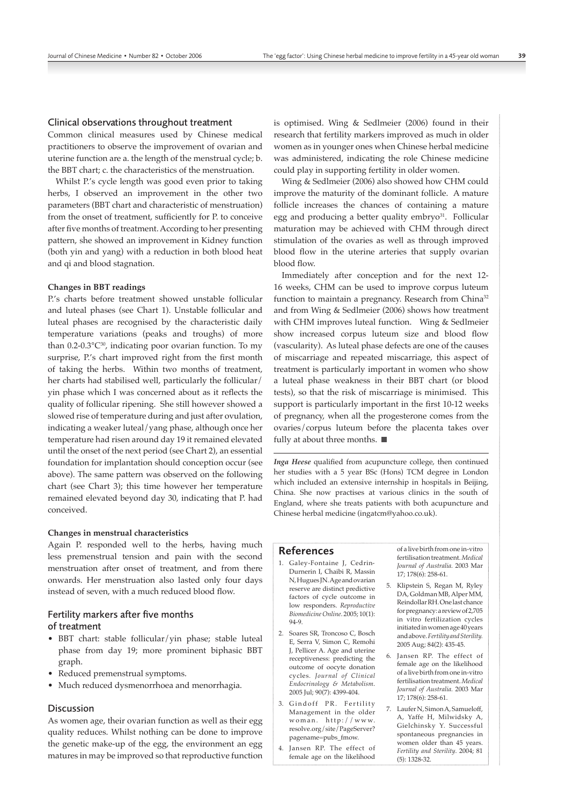#### Clinical observations throughout treatment

Common clinical measures used by Chinese medical practitioners to observe the improvement of ovarian and uterine function are a. the length of the menstrual cycle; b. the BBT chart; c. the characteristics of the menstruation.

Whilst P.'s cycle length was good even prior to taking herbs, I observed an improvement in the other two parameters (BBT chart and characteristic of menstruation) from the onset of treatment, sufficiently for P. to conceive after five months of treatment. According to her presenting pattern, she showed an improvement in Kidney function (both yin and yang) with a reduction in both blood heat and qi and blood stagnation.

#### **Changes in BBT readings**

P.'s charts before treatment showed unstable follicular and luteal phases (see Chart 1). Unstable follicular and luteal phases are recognised by the characteristic daily temperature variations (peaks and troughs) of more than  $0.2$ - $0.3$ °C<sup>30</sup>, indicating poor ovarian function. To my surprise, P.'s chart improved right from the first month of taking the herbs. Within two months of treatment, her charts had stabilised well, particularly the follicular/ yin phase which I was concerned about as it reflects the quality of follicular ripening. She still however showed a slowed rise of temperature during and just after ovulation, indicating a weaker luteal/yang phase, although once her temperature had risen around day 19 it remained elevated until the onset of the next period (see Chart 2), an essential foundation for implantation should conception occur (see above). The same pattern was observed on the following chart (see Chart 3); this time however her temperature remained elevated beyond day 30, indicating that P. had conceived.

#### **Changes in menstrual characteristics**

Again P. responded well to the herbs, having much less premenstrual tension and pain with the second menstruation after onset of treatment, and from there onwards. Her menstruation also lasted only four days instead of seven, with a much reduced blood flow.

# Fertility markers after five months of treatment

- BBT chart: stable follicular/yin phase; stable luteal phase from day 19; more prominent biphasic BBT graph.
- Reduced premenstrual symptoms.
- Much reduced dysmenorrhoea and menorrhagia.

# Discussion

As women age, their ovarian function as well as their egg quality reduces. Whilst nothing can be done to improve the genetic make-up of the egg, the environment an egg matures in may be improved so that reproductive function

is optimised. Wing & Sedlmeier (2006) found in their research that fertility markers improved as much in older women as in younger ones when Chinese herbal medicine was administered, indicating the role Chinese medicine could play in supporting fertility in older women.

Wing & Sedlmeier (2006) also showed how CHM could improve the maturity of the dominant follicle. A mature follicle increases the chances of containing a mature egg and producing a better quality embryo<sup>31</sup>. Follicular maturation may be achieved with CHM through direct stimulation of the ovaries as well as through improved blood flow in the uterine arteries that supply ovarian blood flow.

Immediately after conception and for the next 12- 16 weeks, CHM can be used to improve corpus luteum function to maintain a pregnancy. Research from China<sup>32</sup> and from Wing & Sedlmeier (2006) shows how treatment with CHM improves luteal function. Wing & Sedlmeier show increased corpus luteum size and blood flow (vascularity). As luteal phase defects are one of the causes of miscarriage and repeated miscarriage, this aspect of treatment is particularly important in women who show a luteal phase weakness in their BBT chart (or blood tests), so that the risk of miscarriage is minimised. This support is particularly important in the first 10-12 weeks of pregnancy, when all the progesterone comes from the ovaries/corpus luteum before the placenta takes over fully at about three months.

*Inga Heese* qualified from acupuncture college, then continued her studies with a 5 year BSc (Hons) TCM degree in London which included an extensive internship in hospitals in Beijing, China. She now practises at various clinics in the south of England, where she treats patients with both acupuncture and Chinese herbal medicine (ingatcm@yahoo.co.uk).

# References

- 1. Galey-Fontaine J, Cedrin-Durnerin I, Chaibi R, Massin N, Hugues JN. Age and ovarian reserve are distinct predictive factors of cycle outcome in low responders. *Reproductive Biomedicine Online*. 2005; 10(1): 94-9.
- 2. Soares SR, Troncoso C, Bosch E, Serra V, Simon C, Remohi J, Pellicer A. Age and uterine receptiveness: predicting the outcome of oocyte donation cycles*. Journal of Clinical Endocrinology & Metabolism*. 2005 Jul; 90(7): 4399-404.
- 3. Gindoff PR. Fertility Management in the older woman. http://www. resolve.org/site/PageServer? pagename=pubs\_fmow.
- 4. Jansen RP. The effect of female age on the likelihood

of a live birth from one in-vitro fertilisation treatment. *Medical Journal of Australia.* 2003 Mar 17; 178(6): 258-61.

- 5. Klipstein S, Regan M, Ryley DA, Goldman MB, Alper MM, Reindollar RH. One last chance for pregnancy: a review of 2,705 in vitro fertilization cycles initiated in women age 40 years and above. *Fertility and Sterility.* 2005 Aug; 84(2): 435-45.
- 6. Jansen RP. The effect of female age on the likelihood of a live birth from one in-vitro fertilisation treatment. *Medical Journal of Australia.* 2003 Mar 17; 178(6): 258-61.
- 7. Laufer N, Simon A, Samueloff, A, Yaffe H, Milwidsky A, Gielchinsky Y. Successful spontaneous pregnancies in women older than 45 years. *Fertility and Sterility*. 2004; 81 (5): 1328-32.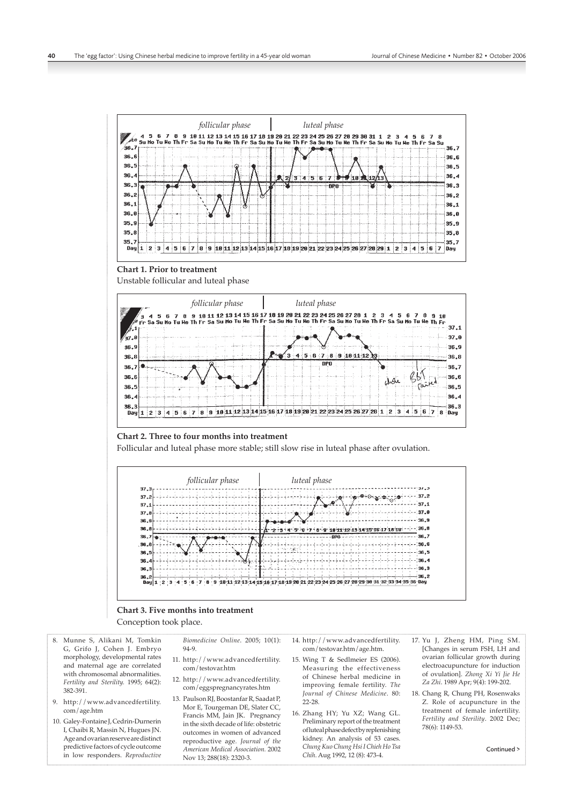

#### **Chart 3. Five months into treatment**

Conception took place.

- 8. Munne S, Alikani M, Tomkin G, Grifo J, Cohen J. Embryo morphology, developmental rates and maternal age are correlated with chromosomal abnormalities. *Fertility and Sterility.* 1995; 64(2): 382-391.
- 9. http://www.advancedfertility. com/age.htm
- 10. Galey-Fontaine J, Cedrin-Durnerin I, Chaibi R, Massin N, Hugues JN. Age and ovarian reserve are distinct predictive factors of cycle outcome in low responders. *Reproductive*

*Biomedicine Online*. 2005; 10(1): 94-9.

- 11. http://www.advancedfertility. com/testovar.htm
- 12. http://www.advancedfertility. com/eggspregnancyrates.htm
- 13. Paulson RJ, Boostanfar R, Saadat P, Mor E, Tourgeman DE, Slater CC, Francis MM, Jain JK. Pregnancy in the sixth decade of life: obstetric outcomes in women of advanced reproductive age*. Journal of the American Medical Association.* 2002 Nov 13; 288(18): 2320-3.
- 14. http://www.advancedfertility. com/testovar.htm/age.htm.
- 15. Wing T & Sedlmeier ES (2006). Measuring the effectiveness of Chinese herbal medicine in improving female fertility. *The Journal of Chinese Medicine*. 80: 22-28.
- 16. Zhang HY; Yu XZ; Wang GL. Preliminary report of the treatment of luteal phase defect by replenishing kidney. An analysis of 53 cases. *Chung Kuo Chung Hsi I Chieh Ho Tsa Chih*. Aug 1992, 12 (8): 473-4.
- 17. Yu J, Zheng HM, Ping SM. [Changes in serum FSH, LH and ovarian follicular growth during electroacupuncture for induction of ovulation]. *Zhong Xi Yi Jie He Za Zhi*. 1989 Apr; 9(4): 199-202.
- 18. Chang R, Chung PH, Rosenwaks Z. Role of acupuncture in the treatment of female infertility. *Fertility and Sterility*. 2002 Dec; 78(6): 1149-53.

Continued >